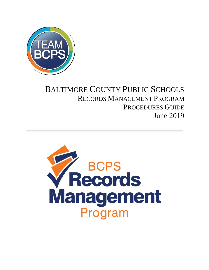

## BALTIMORE COUNTY PUBLIC SCHOOLS RECORDS MANAGEMENT PROGRAM PROCEDURES GUIDE June 2019

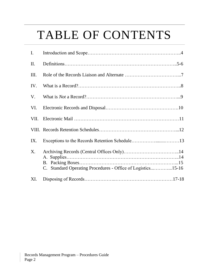# TABLE OF CONTENTS

| I.   |                                                             |  |
|------|-------------------------------------------------------------|--|
| II.  |                                                             |  |
| Ш.   |                                                             |  |
| IV.  |                                                             |  |
| V.   |                                                             |  |
| VI.  |                                                             |  |
| VII. |                                                             |  |
|      |                                                             |  |
| IX.  |                                                             |  |
| X.   | C. Standard Operating Procedures - Office of Logistics15-16 |  |
| XI.  |                                                             |  |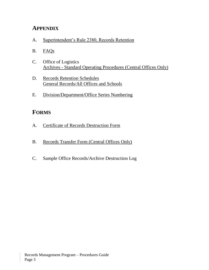## **APPENDIX**

- A. [Superintendent's Rule 2380, Records Retention](http://www.bcps.org/system/policies_rules/rules/2000Series/RULE2380.pdf)
- B. [FAQs](http://www.bcps.org/records_management_program/misc/FAQs.pdf)
- C. Office of Logistics [Archives - Standard Operating Procedures \(Central Offices Only\)](http://www.bcps.org/records_management_program/archives_central_office_SOP.html)
- D. [Records Retention Schedules](http://www.bcps.org/records_management_program/records_retention_schedules.html) [General Records/All Offices and Schools](http://www.bcps.org/records_management_program/schedules/All-Offices-Schools-RRS_2019_Approved-MSA.pdf)
- E. [Division/Department/Office Series Numbering](https://www.bcps.org/records_management_program/misc/Department-Office-Series-Numbers-Record-Retention-Program.pdf)

## **FORMS**

- A. [Certificate of Records Destruction Form](https://www.bcps.org/records_management_program/misc/BCPS-Certificate-of-Records-Destruction.pdf)
- B. [Records Transfer Form \(Central Offices Only\)](https://www.bcps.org/records_management_program/misc/BCPS-Records-Transfer-Form.pdf)
- C. Sample Office Records/Archive Destruction Log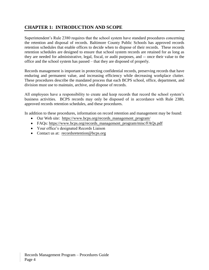## **CHAPTER 1: INTRODUCTION AND SCOPE**

Superintendent's Rule 2380 requires that the school system have standard procedures concerning the retention and disposal of records. Baltimore County Public Schools has approved records retention schedules that enable offices to decide when to dispose of their records. These records retention schedules are designed to ensure that school system records are retained for as long as they are needed for administrative, legal, fiscal, or audit purposes, and -- once their value to the office and the school system has passed – that they are disposed of properly.

Records management is important in protecting confidential records, preserving records that have enduring and permanent value, and increasing efficiency while decreasing workplace clutter. These procedures describe the mandated process that each BCPS school, office, department, and division must use to maintain, archive, and dispose of records.

All employees have a responsibility to create and keep records that record the school system's business activities. BCPS records may only be disposed of in accordance with Rule 2380, approved records retention schedules, and these procedures.

In addition to these procedures, information on record retention and management may be found:

- Our Web site: https://www.bcps.org/records management program/
- FAQs: https://www.bcps.org/records\_management[\\_program/misc/FAQs.pd](https://www.bcps.org/records_management_program/misc/FAQs.pdf)f
- Your office's designated Records Liaison
- Contact us at: recordsretention@bcps.org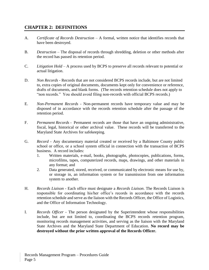## **CHAPTER 2: DEFINITIONS**

- A*. Certificate of Records Destruction* A formal, written notice that identifies records that have been destroyed.
- B. *Destruction* The disposal of records through shredding, deletion or other methods after the record has passed its retention period.
- C. *Litigation Hold* A process used by BCPS to preserve all records relevant to potential or actual litigation.
- D. *Non Records -* Records that are not considered BCPS records include, but are not limited to, extra copies of original documents, documents kept only for convenience or reference, drafts of documents, and blank forms. (The records retention schedule does not apply to "non records." You should avoid filing non-records with official BCPS records.)
- E. *Non-Permanent Records -* Non-permanent records have temporary value and may be disposed of in accordance with the records retention schedule after the passage of the retention period.
- F. *Permanent Records -* Permanent records are those that have an ongoing administrative, fiscal, legal, historical or other archival value. These records will be transferred to the Maryland State Archives for safekeeping.
- G. *Record* Any documentary material created or received by a Baltimore County public school or office, or a school system official in connection with the transaction of BCPS business. A record includes:
	- 1. Written materials, e-mail, books, photographs, photocopies, publications, forms, microfilms, tapes, computerized records, maps, drawings, and other materials in any format; and
	- 2. Data generated, stored, received, or communicated by electronic means for use by, or storage in, an information system or for transmission from one information system to another.
- H. *Records Liaison -* Each office must designate a *Records Liaison*. The Records Liaison is responsible for coordinating his/her office's records in accordance with the records retention schedule and serve as the liaison with the Records Officer, the Office of Logistics, and the Office of Information Technology.
- I. *Records Officer -* The person designated by the Superintendent whose responsibilities include, but are not limited to, coordinating the BCPS records retention program, monitoring records management activities, and serving as the liaison with the Maryland State Archives and the Maryland State Department of Education. **No record may be destroyed without the prior written approval of the Records Officer.**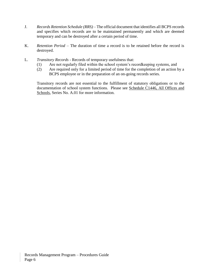- J. *Records Retention Schedule (RRS)*  The official document that identifies all BCPS records and specifies which records are to be maintained permanently and which are deemed temporary and can be destroyed after a certain period of time.
- K. *Retention Period*  The duration of time a record is to be retained before the record is destroyed.
- L. *Transitory Records*  Records of temporary usefulness that:
	- (1) Are not regularly filed within the school system's recordkeeping systems, and
	- (2) Are required only for a limited period of time for the completion of an action by a BCPS employee or in the preparation of an on-going records series.

Transitory records are not essential to the fulfillment of statutory obligations or to the documentation of school system functions. Please see [Schedule C1446, All Offices and](https://www.bcps.org/records_management_program/schedules/All-Offices-Schools-RRS_2019_Approved-MSA.pdf)  [Schools,](https://www.bcps.org/records_management_program/schedules/All-Offices-Schools-RRS_2019_Approved-MSA.pdf) Series No. A.01 for more information.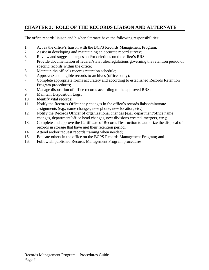## **CHAPTER 3: ROLE OF THE RECORDS LIAISON AND ALTERNATE**

The office records liaison and his/her alternate have the following responsibilities:

- 1. Act as the office's liaison with the BCPS Records Management Program;
- 2. Assist in developing and maintaining an accurate record survey;
- 3. Review and suggest changes and/or deletions on the office's RRS;
- 4. Provide documentation of federal/state rules/regulations governing the retention period of specific records within the office;
- 5. Maintain the office's records retention schedule;
- 6. Approve/Send eligible records to archives (offices only);
- 7. Complete appropriate forms accurately and according to established Records Retention Program procedures;
- 8. Manage disposition of office records according to the approved RRS;
- 9. Maintain Disposition Logs;
- 10. Identify vital records;
- 11. Notify the Records Officer any changes in the office's records liaison/alternate assignments (e.g., name changes, new phone, new location, etc.);
- 12. Notify the Records Officer of organizational changes (e.g., department/office name changes, department/office head changes, new divisions created, mergers, etc.);
- 13. Complete and approve the Certificate of Records Destruction to authorize the disposal of records in storage that have met their retention period;
- 14. Attend and/or request records training when needed;
- 15. Educate others in the office on the BCPS Records Management Program; and
- 16. Follow all published Records Management Program procedures.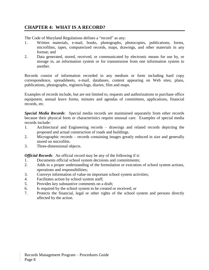## **CHAPTER 4: WHAT IS A RECORD?**

The Code of Maryland Regulations defines a "record" as any:

- 1. Written materials, e-mail, books, photographs, photocopies, publications, forms, microfilms, tapes, computerized records, maps, drawings, and other materials in any format; and
- 2. Data generated, stored, received, or communicated by electronic means for use by, or storage in, an information system or for transmission from one information system to another.

Records consist of information recorded in any medium or form including hard copy correspondence, spreadsheets, e-mail, databases, content appearing on Web sites, plans, publications, photographs, registers/logs, diaries, film and maps.

Examples of records include, but are not limited to, requests and authorizations to purchase office equipment, annual leave forms, minutes and agendas of committees, applications, financial records, etc.

*Special Media Records*: Special media records are maintained separately from other records because their physical form or characteristics require unusual care. Examples of special media records include:

- 1. Architectural and Engineering records drawings and related records depicting the proposed and actual construction of roads and buildings.
- 2. Micrographic records records containing images greatly reduced in size and generally stored on microfilm.
- 3. Three-dimensional objects.

*Official Records*: An official record may be any of the following if it:

- 1. Documents official school system decisions and commitments;
- 2. Adds to a proper understanding of the formulation or execution of school system actions, operations and responsibilities;
- 3. Conveys information of value on important school system activities;
- 4. Facilitates action by school system staff;
- 5. Provides key substantive comments on a draft;
- 6. Is required by the school system to be created or received; or
- 7. Protects the financial, legal or other rights of the school system and persons directly affected by the action.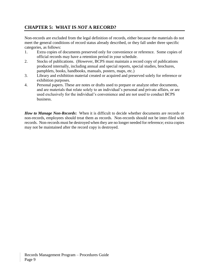## **CHAPTER 5: WHAT IS** *NOT* **A RECORD?**

Non-records are excluded from the legal definition of records, either because the materials do not meet the general conditions of record status already described, or they fall under three specific categories, as follows:

- 1. Extra copies of documents preserved only for convenience or reference. Some copies of official records may have a retention period in your schedule.
- 2. Stocks of publications. (However, BCPS must maintain a record copy of publications produced internally, including annual and special reports, special studies, brochures, pamphlets, books, handbooks, manuals, posters, maps, etc.)
- 3. Library and exhibition material created or acquired and preserved solely for reference or exhibition purposes.
- 4. Personal papers. These are notes or drafts used to prepare or analyze other documents, and are materials that relate solely to an individual's personal and private affairs, or are used exclusively for the individual's convenience and are not used to conduct BCPS business.

*How to Manage Non-Records***:** When it is difficult to decide whether documents are records or non-records, employees should treat them as records. Non-records should not be inter-filed with records. Non-records must be destroyed when they are no longer needed for reference; extra copies may not be maintained after the record copy is destroyed.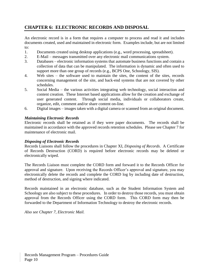## **CHAPTER 6: ELECTRONIC RECORDS AND DISPOSAL**

An electronic record is in a form that requires a computer to process and read it and includes documents created, used and maintained in electronic form. Examples include, but are not limited to:

- 1. Documents created using desktop applications (e.g., word processing, spreadsheet).
- 2. E-Mail messages transmitted over any electronic mail communications system.
- 3. Databases electronic information systems that automate business functions and contain a collection of data that can be manipulated. The information is dynamic and often used to support more than one group of records (e.g., BCPS One, Schoology, SIS).
- 4. Web sites the software used to maintain the sites, the content of the sites, records concerning management of the site, and back-end systems that are not covered by other schedules.
- 5. Social Media the various activities integrating web technology, social interaction and content creation. These Internet based applications allow for the creation and exchange of user generated content. Through social media, individuals or collaborators create, organize, edit, comment and/or share content on-line.
- 6. Digital images images taken with a digital camera or scanned from an original document.

### *Maintaining Electronic Records*

Electronic records shall be retained as if they were paper documents. The records shall be maintained in accordance with the approved records retention schedules. Please see Chapter 7 for maintenance of electronic mail.

#### *Disposing of Electronic Records*

Records Liaisons shall follow the procedures in Chapter XI, *Disposing of Records*. A Certificate of Records Destruction (CORD) is required before electronic records may be deleted or electronically wiped.

The Records Liaison must complete the CORD form and forward it to the Records Officer for approval and signature. Upon receiving the Records Officer's approval and signature, you may electronically delete the records and complete the CORD log by including date of destruction, method of destruction, and signing where indicated.

Records maintained in an electronic database, such as the Student Information System and Schoology are also subject to these procedures. In order to destroy those records, you must obtain approval from the Records Officer using the CORD form. This CORD form may then be forwarded to the Department of Information Technology to destroy the electronic records.

*Also see Chapter 7, Electronic Mail.*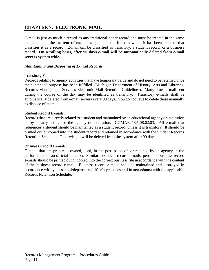## **CHAPTER 7: ELECTRONIC MAIL**

E-mail is just as much a record as any traditional paper record and must be treated in the same manner. It is the **content** of each message—not the form in which it has been created--that classifies it as a record. E-mail can be classified as transitory, a student record, or a business record. **On a rolling basis, after 90 days e-mail will be automatically deleted from e-mail servers system wide.** 

#### *Maintaining and Disposing of E-mail Records*

#### Transitory E-mails:

Records relating to agency activities that have temporary value and do not need to be retained once their intended purpose has been fulfilled. (Michigan Department of History, Arts and Libraries, Records Management Services Electronic Mail Retention Guidelines). Many times e-mail sent during the course of the day may be identified as transitory. Transitory e-mails shall be automatically deleted from e-mail servers every 90 days. You do not have to delete these manually to dispose of them.

#### Student Record E-mails:

Records that are directly related to a student and maintained by an educational agency or institution or by a party acting for the agency or institution. COMAR 13A.08.02.03. All e-mail that references a student should be maintained as a student record, unless it is transitory. It should be printed out or copied into the student record and retained in accordance with the Student Records Retention Schedule. Otherwise, it will be deleted from the system after 90 days.

#### Business Record E-mails:

E-mails that are prepared, owned, used, in the possession of, or retained by an agency in the performance of an official function. Similar to student record e-mails, pertinent business record e-mails should be printed out or copied into the correct business file in accordance with the content of the business record e-mail. Business record e-mails shall be maintained and destroyed in accordance with your school/department/office's practices and in accordance with the applicable Records Retention Schedule.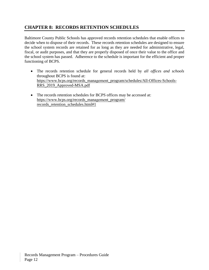## **CHAPTER 8: RECORDS RETENTION SCHEDULES**

Baltimore County Public Schools has approved records retention schedules that enable offices to decide when to dispose of their records. These records retention schedules are designed to ensure the school system records are retained for as long as they are needed for administrative, legal, fiscal, or audit purposes, and that they are properly disposed of once their value to the office and the school system has passed. Adherence to the schedule is important for the efficient and proper functioning of BCPS.

- The records retention schedule for general records held by *all offices and schools* throughout BCPS is found at: https://www.bcps.org/records\_management[\\_program/schedules/All-Offices-Schools-](https://www.bcps.org/records_management_program/schedules/All-Offices-Schools-RRS_2019_Approved-MSA.pdf)[RRS\\_2019\\_Approved-MSA.pdf](https://www.bcps.org/records_management_program/schedules/All-Offices-Schools-RRS_2019_Approved-MSA.pdf)
- The records retention schedules for BCPS offices may be accessed at: https://www[.bcps.org/records\\_](https://intranet.bcps.org/records_retention_program/records_retention_schedules.html#1)management\_program/ records\_retention\_schedules.html#1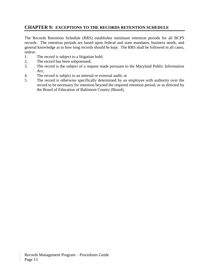## **CHAPTER 9: EXCEPTIONS TO THE RECORDS RETENTION SCHEDULE**

The Records Retention Schedule (RRS) establishes minimum retention periods for all BCPS records. The retention periods are based upon federal and state mandates, business needs, and general knowledge as to how long records should be kept. The RRS shall be followed in all cases, unless:

- 1. The record is subject to a litigation hold;
- 2. The record has been subpoenaed;
- 3. The record is the subject of a request made pursuant to the Maryland Public Information Act;
- 4. The record is subject to an internal or external audit; or
- 5. The record is otherwise specifically determined by an employee with authority over the record to be necessary for retention beyond the required retention period, or as directed by the Board of Education of Baltimore County (Board).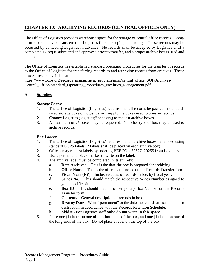## **CHAPTER 10: ARCHIVING RECORDS (CENTRAL OFFICES ONLY)**

The Office of Logistics provides warehouse space for the storage of central office records. Longterm records may be transferred to Logistics for safekeeping and storage. These records may be accessed by contacting Logistics in advance. No records shall be accepted by Logistics until a completed T-Req is submitted and approved prior to transfer, and a proper archive box is used and labeled.

The Office of Logistics has established standard operating procedures for the transfer of records to the Office of Logistics for transferring records to and retrieving records from archives. These procedures are available at:

https://www.bcps.org/records\_management[\\_program/misc/central\\_office\\_SOP/Archives-](https://www.bcps.org/records_management_program/misc/central_office_SOP/Archives-Central_Office-Standard_Operating_Procedures_Facilities_Management.pdf)[Central\\_Office-Standard\\_Operating\\_Procedures\\_Facilities\\_Management.pdf](https://www.bcps.org/records_management_program/misc/central_office_SOP/Archives-Central_Office-Standard_Operating_Procedures_Facilities_Management.pdf)

## **A. Supplies**

#### *Storage Boxes***:**

- 1. The Office of Logistics (Logistics) requires that all records be packed in standardsized storage boxes. Logistics will supply the boxes used to transfer records.
- 2. Contact Logistics (logistics @bcps.org) to request archive boxes.
- 3. A maximum of 25 boxes may be requested. No other type of box may be used to archive records.

#### *Box Labels:*

- 1. The Office of Logistics (Logistics) requires that all archive boxes be labeled using standard BCPS labels (2 labels shall be placed on each archive box).
- 2. Offices may request labels by ordering BEBCO # 39527120255 from Logistics.
- 3. Use a permanent, black marker to write on the label.
- 4. The archive label must be completed in its entirety:
	- a. **Date Archived** This is the date the box is prepared for archiving.
	- b. **Office Name** This is the office name noted on the Records Transfer form.
	- c. **Fiscal Year (FY)** Inclusive dates of records in box by fiscal year.
	- d. **Series No.** This should match the respective [Series Number](https://www.bcps.org/records_management_program/misc/Department-Office-Series-Numbers-Record-Retention-Program.pdf) assigned to your specific office.
	- e. **Box ID** This should match the Temporary Box Number on the Records Transfer form.
	- f. **Contents** General description of records in box.
	- g. **Destroy Date** Write "permanent" or the date the records are scheduled for destruction in accordance with the Records Retention Schedule.
	- h. **Skid #** For Logistics staff only; **do not write in this space.**
- 5. Place one (1) label on one of the short ends of the box, and one (1) label on one of the long ends of the box. *Do not* place a label on the top of the box.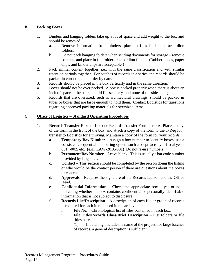## **B. Packing Boxes**

- 1. Binders and hanging folders take up a lot of space and add weight to the box and should be removed.
	- a. Remove information from binders, place in files folders or accordion folders.
	- b. Do not pack hanging folders when sending documents for storage remove contents and place in file folder or accordion folder. (Rubber bands, paper clips, and binder clips are acceptable.)
- 2. Pack similar content together, i.e., with the same classification and with similar retention periods together. For batches of records in a series, the records should be packed in chronological order by date.
- 3. Records should be placed in the box vertically and in the same direction.
- 4. Boxes should not be over packed. A box is packed properly when there is about an inch of space at the back, the lid fits securely, and none of the sides bulge.
- 5. Records that are oversized, such as architectural drawings, should be packed in tubes or boxes that are large enough to hold them. Contact Logistics for questions regarding approved packing materials for oversized items.

### **C. Office of Logistics – Standard Operating Procedures**

- 1. **Records Transfer Form** Use one Records Transfer Form per box. Place a copy of the form in the front of the box, and attach a copy of the form to the T-Req for transfer to Logistics for archiving. Maintain a copy of the form for your records.
	- a. **Temporary Box Number** Assign a box number to identify boxes, use a consistent, sequential numbering system such as dept. acronym-fiscal year-001, -002, etc. (e.g., LAW-2018-001) Do not re-use numbers.
	- b. **Permanent Box Number** Leave blank. This is usually a bar code number provided by Logistics.
	- c. **Contact**  This section should be completed by the person doing the listing or who would be the contact person if there are questions about the boxes or contents.
	- d. **Approvals** Requires the signature of the Records Liaison and the Office Head.
	- e. **Confidential Information** Check the appropriate box yes or no indicating whether the box contains confidential or personally identifiable information that is not subject to disclosure.
	- f. **Records List/Description** A description of each file or group of records is required for each item placed in the archive box.
		- i. **File No.** Chronological list of files contained in each box.
		- ii. **File Title/Records Class/Brief Description** List folders or file titles here.
			- (1) If batching, include the name of the project; for large batches of records, a general description is sufficient.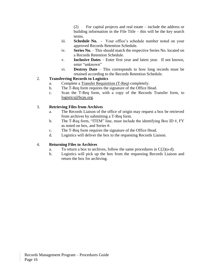(2) For capital projects and real estate – include the address or building information in the File Title – this will be the key search terms.

- iii. **Schedule No.** Your office's schedule number noted on your approved Records Retention Schedule.
- iv. **Series No.** This should match the respective Series No. located on a Records Retention Schedule.
- v. **Inclusive Dates** Enter first year and latest year. If not known, enter "unknown"
- vi. **Destroy Date** This corresponds to how long records must be retained according to the Records Retention Schedule.

## 2. **Transferring Records to Logistics**

- a. Complete a [Transfer Requisition \(T-Req\)](https://www.bcps.org/records_management_program/misc/BCPS-Records-Transfer-Form.pdf) completely.
- b. The T-Req form requires the signature of the Office Head.
- c. Scan the T-Req form, with a copy of the Records Transfer form, to [logistics@bcps.org.](mailto:logistics@bcps.org)

### 3. **Retrieving Files from Archives**

- a. The Records Liaison of the office of origin may request a box be retrieved from archives by submitting a T-Req form.
- b. The T-Req form, "ITEM" line, must include the identifying Box ID  $#$ , FY as noted on box, and Series #.
- c. The T-Req form requires the signature of the Office Head.
- d. Logistics will deliver the box to the requesting Records Liaison.

## 4. **Returning Files to Archives**

- a. To return a box to archives, follow the same procedures in  $C(2)(a-d)$ .
- b. Logistics will pick up the box from the requesting Records Liaison and return the box for archiving.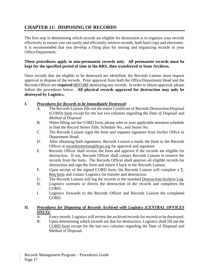## **CHAPTER 11: DISPOSING OF RECORDS**

The first step in determining which records are eligible for destruction is to organize your records effectively to ensure you can easily and efficiently retrieve records, both hard copy and electronic. It is recommended that you develop a filing plan for storing and organizing records in your Office/Department.

#### **These procedures apply to non-permanent records only. All permanent records must be kept for the specified period of time in the RRS, then transferred to State Archives.**

Once records that are eligible to be destroyed are identified, the Records Liaison must request approval to dispose of the records. Prior approval from both the Office/Department Head and the Records Officer are **required** *BEFORE* destroying any records. In order to obtain approval, please follow the procedures below. **All physical records approved for destruction may only be destroyed by Logistics.** 

### **I.** *Procedures [for Records to be Immediately Destroyed:](https://intranet.bcps.org/records_retention_program/misc/Records-Destruction-Flow-Chart.pdf)*

- A. The Records Liaison fills out the entire Certificate of Records Destruction/Disposal (CORD) [form](https://intranet.bcps.org/records_retention_program/misc/BCPS_Certificate-of-Records-Destruction.pdf) *except* for the last two columns regarding the *Date of Disposal* and *Method of Disposal*.
- B. When filling out the CORD form, please refer to your applicable retention schedule to find the Record Series Title, Schedule No., and Series No.
- C. The Records Liaison signs the form and requests signature from his/her Office or Department Head.
- D. After obtaining both signatures, Records Liaison e-mails the form to the Records Officer at [recordsretention@bcps.org](mailto:recordsretention@bcps.org) for approval and signature.
- E. Records Officer shall review the form and approve if the records are eligible for destruction. If not, Records Officer shall contact Records Liaison to remove the records from the form. The Records Officer shall approve all eligible records for destruction and sign the form and return it back to the Records Liaison.
- F. Upon receipt of the signed CORD form, the Records Liaison will complete a [T-](https://intranet.bcps.org/records_retention_program/misc/BCPS-Records-Transfer-Form.pdf)[Req form](https://intranet.bcps.org/records_retention_program/misc/BCPS-Records-Transfer-Form.pdf) and contact Logistics for transfer and destruction.
- G. The Records Liaison will log the records in the standard [Destruction/Archive Log.](https://intranet.bcps.org/records_retention_program/misc/BCPS-Certificate-of-Records-Destruction-Draft.pdf)
- H. Logistics oversees or directs the destruction of the records and completes the CORD.
- I. Logistics forwards to the Records Officer and Records Liaison the completed CORD.

### **II.** *Procedures for Disposing of Records Archived with Logistics (CENTRAL OFFICES ONLY):*

- A. Every month, Logistics will review the archived records for records to be destroyed.
- B. Upon determining which records are due for destruction, Logistics shall fill out the [CORD form](https://intranet.bcps.org/records_retention_program/misc/BCPS_Certificate-of-Records-Destruction.pdf) *except* for the last two columns regarding the Date of Disposal and Method of Disposal.